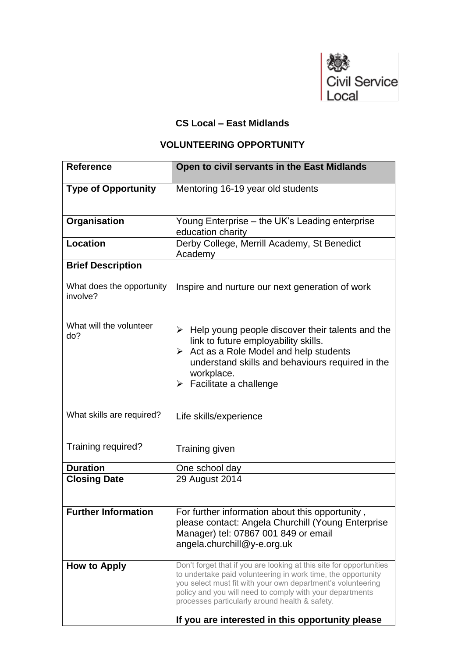

## **CS Local – East Midlands**

## **VOLUNTEERING OPPORTUNITY**

| <b>Reference</b>                      | Open to civil servants in the East Midlands                                                                                                                                                                                                                                                                                                                          |
|---------------------------------------|----------------------------------------------------------------------------------------------------------------------------------------------------------------------------------------------------------------------------------------------------------------------------------------------------------------------------------------------------------------------|
| <b>Type of Opportunity</b>            | Mentoring 16-19 year old students                                                                                                                                                                                                                                                                                                                                    |
| Organisation                          | Young Enterprise – the UK's Leading enterprise<br>education charity                                                                                                                                                                                                                                                                                                  |
| <b>Location</b>                       | Derby College, Merrill Academy, St Benedict<br>Academy                                                                                                                                                                                                                                                                                                               |
| <b>Brief Description</b>              |                                                                                                                                                                                                                                                                                                                                                                      |
| What does the opportunity<br>involve? | Inspire and nurture our next generation of work                                                                                                                                                                                                                                                                                                                      |
| What will the volunteer<br>do?        | $\triangleright$ Help young people discover their talents and the<br>link to future employability skills.<br>$\triangleright$ Act as a Role Model and help students<br>understand skills and behaviours required in the<br>workplace.<br>$\triangleright$ Facilitate a challenge                                                                                     |
| What skills are required?             | Life skills/experience                                                                                                                                                                                                                                                                                                                                               |
| Training required?                    | Training given                                                                                                                                                                                                                                                                                                                                                       |
| <b>Duration</b>                       | One school day                                                                                                                                                                                                                                                                                                                                                       |
| <b>Closing Date</b>                   | 29 August 2014                                                                                                                                                                                                                                                                                                                                                       |
| <b>Further Information</b>            | For further information about this opportunity,<br>please contact: Angela Churchill (Young Enterprise<br>Manager) tel: 07867 001 849 or email<br>angela.churchill@y-e.org.uk                                                                                                                                                                                         |
| How to Apply                          | Don't forget that if you are looking at this site for opportunities<br>to undertake paid volunteering in work time, the opportunity<br>you select must fit with your own department's volunteering<br>policy and you will need to comply with your departments<br>processes particularly around health & safety.<br>If you are interested in this opportunity please |